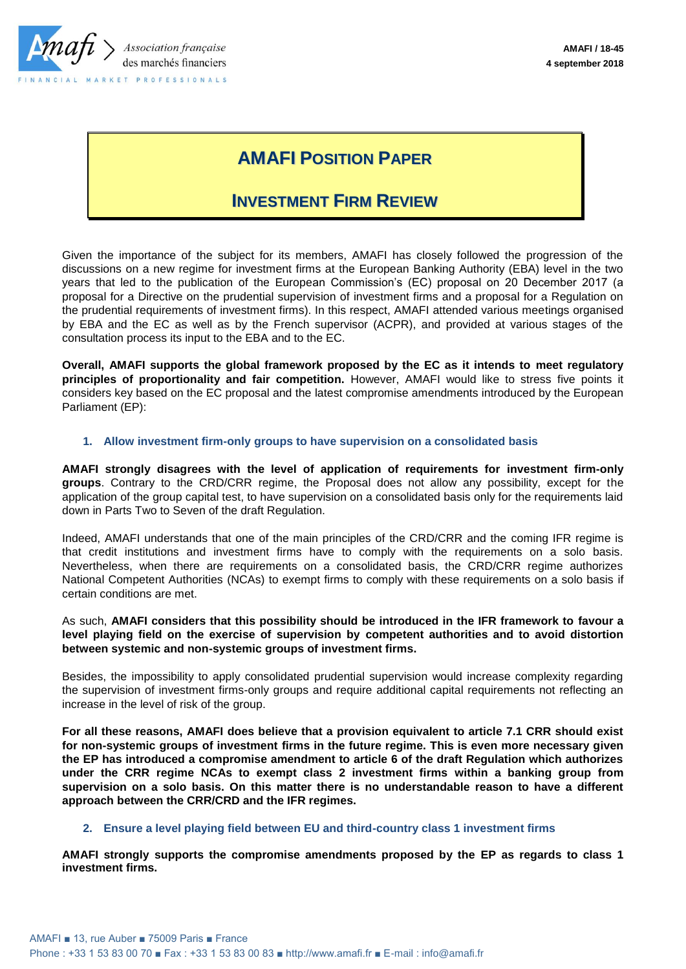

# **AMAFI POSITION PAPER**

## **INVESTMENT FIRM REVIEW**

Given the importance of the subject for its members, AMAFI has closely followed the progression of the discussions on a new regime for investment firms at the European Banking Authority (EBA) level in the two years that led to the publication of the European Commission's (EC) proposal on 20 December 2017 (a proposal for a Directive on the prudential supervision of investment firms and a proposal for a Regulation on the prudential requirements of investment firms). In this respect, AMAFI attended various meetings organised by EBA and the EC as well as by the French supervisor (ACPR), and provided at various stages of the consultation process its input to the EBA and to the EC.

**Overall, AMAFI supports the global framework proposed by the EC as it intends to meet regulatory principles of proportionality and fair competition.** However, AMAFI would like to stress five points it considers key based on the EC proposal and the latest compromise amendments introduced by the European Parliament (EP):

### **1. Allow investment firm-only groups to have supervision on a consolidated basis**

**AMAFI strongly disagrees with the level of application of requirements for investment firm-only groups**. Contrary to the CRD/CRR regime, the Proposal does not allow any possibility, except for the application of the group capital test, to have supervision on a consolidated basis only for the requirements laid down in Parts Two to Seven of the draft Regulation.

Indeed, AMAFI understands that one of the main principles of the CRD/CRR and the coming IFR regime is that credit institutions and investment firms have to comply with the requirements on a solo basis. Nevertheless, when there are requirements on a consolidated basis, the CRD/CRR regime authorizes National Competent Authorities (NCAs) to exempt firms to comply with these requirements on a solo basis if certain conditions are met.

As such, **AMAFI considers that this possibility should be introduced in the IFR framework to favour a level playing field on the exercise of supervision by competent authorities and to avoid distortion between systemic and non-systemic groups of investment firms.**

Besides, the impossibility to apply consolidated prudential supervision would increase complexity regarding the supervision of investment firms-only groups and require additional capital requirements not reflecting an increase in the level of risk of the group.

**For all these reasons, AMAFI does believe that a provision equivalent to article 7.1 CRR should exist for non-systemic groups of investment firms in the future regime. This is even more necessary given the EP has introduced a compromise amendment to article 6 of the draft Regulation which authorizes under the CRR regime NCAs to exempt class 2 investment firms within a banking group from supervision on a solo basis. On this matter there is no understandable reason to have a different approach between the CRR/CRD and the IFR regimes.** 

### **2. Ensure a level playing field between EU and third-country class 1 investment firms**

**AMAFI strongly supports the compromise amendments proposed by the EP as regards to class 1 investment firms.**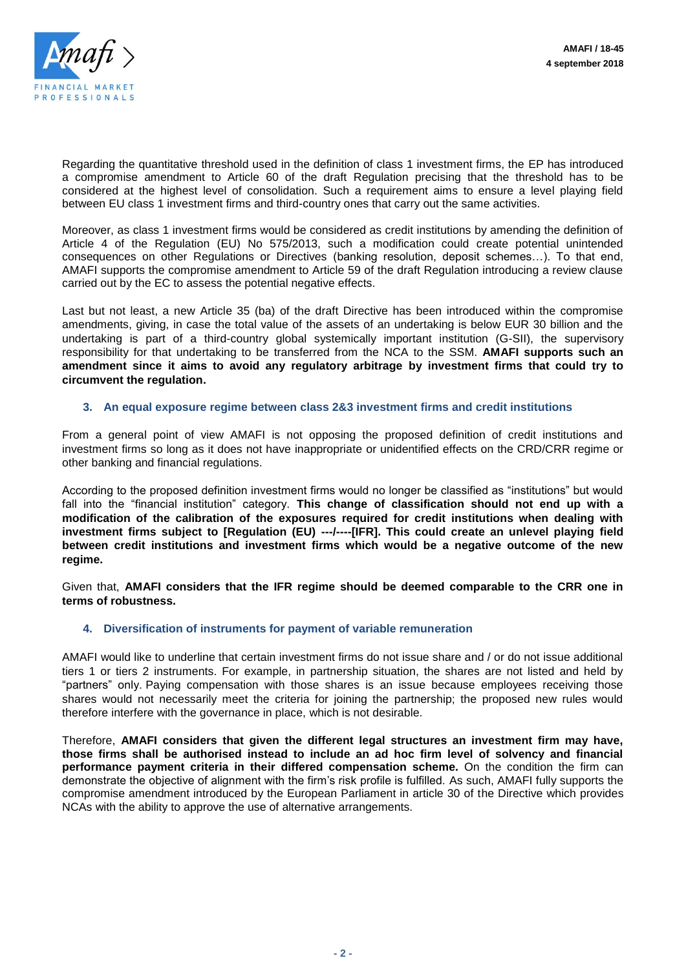

Regarding the quantitative threshold used in the definition of class 1 investment firms, the EP has introduced a compromise amendment to Article 60 of the draft Regulation precising that the threshold has to be considered at the highest level of consolidation. Such a requirement aims to ensure a level playing field between EU class 1 investment firms and third-country ones that carry out the same activities.

Moreover, as class 1 investment firms would be considered as credit institutions by amending the definition of Article 4 of the Regulation (EU) No 575/2013, such a modification could create potential unintended consequences on other Regulations or Directives (banking resolution, deposit schemes…). To that end, AMAFI supports the compromise amendment to Article 59 of the draft Regulation introducing a review clause carried out by the EC to assess the potential negative effects.

Last but not least, a new Article 35 (ba) of the draft Directive has been introduced within the compromise amendments, giving, in case the total value of the assets of an undertaking is below EUR 30 billion and the undertaking is part of a third-country global systemically important institution (G-SII), the supervisory responsibility for that undertaking to be transferred from the NCA to the SSM. **AMAFI supports such an amendment since it aims to avoid any regulatory arbitrage by investment firms that could try to circumvent the regulation.**

### **3. An equal exposure regime between class 2&3 investment firms and credit institutions**

From a general point of view AMAFI is not opposing the proposed definition of credit institutions and investment firms so long as it does not have inappropriate or unidentified effects on the CRD/CRR regime or other banking and financial regulations.

According to the proposed definition investment firms would no longer be classified as "institutions" but would fall into the "financial institution" category. **This change of classification should not end up with a modification of the calibration of the exposures required for credit institutions when dealing with investment firms subject to [Regulation (EU) ---/----[IFR]. This could create an unlevel playing field between credit institutions and investment firms which would be a negative outcome of the new regime.**

Given that, **AMAFI considers that the IFR regime should be deemed comparable to the CRR one in terms of robustness.**

### **4. Diversification of instruments for payment of variable remuneration**

AMAFI would like to underline that certain investment firms do not issue share and / or do not issue additional tiers 1 or tiers 2 instruments. For example, in partnership situation, the shares are not listed and held by "partners" only. Paying compensation with those shares is an issue because employees receiving those shares would not necessarily meet the criteria for joining the partnership; the proposed new rules would therefore interfere with the governance in place, which is not desirable.

Therefore, **AMAFI considers that given the different legal structures an investment firm may have, those firms shall be authorised instead to include an ad hoc firm level of solvency and financial performance payment criteria in their differed compensation scheme.** On the condition the firm can demonstrate the objective of alignment with the firm's risk profile is fulfilled. As such, AMAFI fully supports the compromise amendment introduced by the European Parliament in article 30 of the Directive which provides NCAs with the ability to approve the use of alternative arrangements.